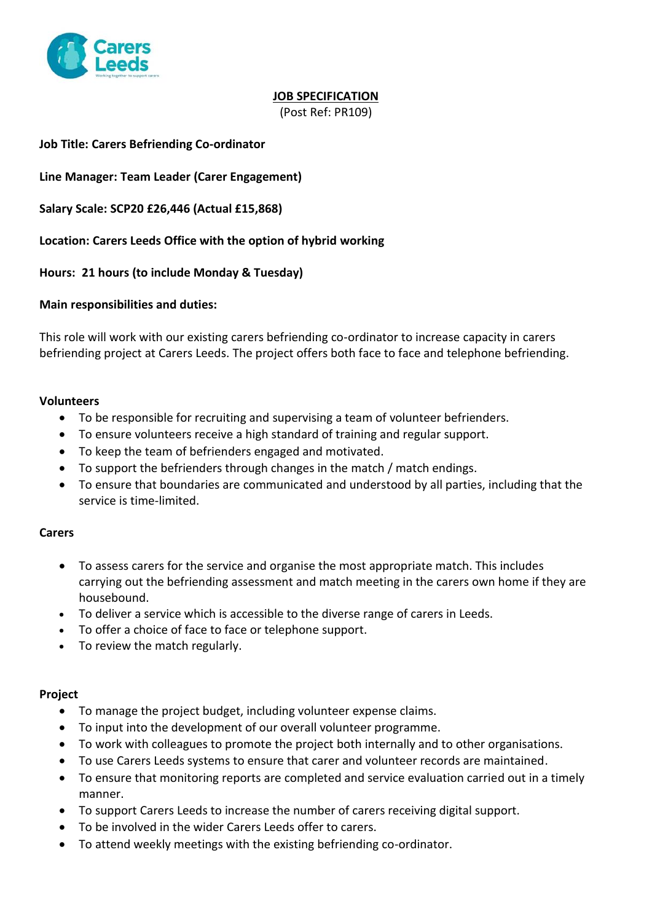

# **JOB SPECIFICATION**

(Post Ref: PR109)

## **Job Title: Carers Befriending Co-ordinator**

**Line Manager: Team Leader (Carer Engagement)**

**Salary Scale: SCP20 £26,446 (Actual £15,868)**

**Location: Carers Leeds Office with the option of hybrid working**

**Hours: 21 hours (to include Monday & Tuesday)**

#### **Main responsibilities and duties:**

This role will work with our existing carers befriending co-ordinator to increase capacity in carers befriending project at Carers Leeds. The project offers both face to face and telephone befriending.

#### **Volunteers**

- To be responsible for recruiting and supervising a team of volunteer befrienders.
- To ensure volunteers receive a high standard of training and regular support.
- To keep the team of befrienders engaged and motivated.
- To support the befrienders through changes in the match / match endings.
- To ensure that boundaries are communicated and understood by all parties, including that the service is time-limited.

#### **Carers**

- To assess carers for the service and organise the most appropriate match. This includes carrying out the befriending assessment and match meeting in the carers own home if they are housebound.
- To deliver a service which is accessible to the diverse range of carers in Leeds.
- To offer a choice of face to face or telephone support.
- To review the match regularly.

#### **Project**

- To manage the project budget, including volunteer expense claims.
- To input into the development of our overall volunteer programme.
- To work with colleagues to promote the project both internally and to other organisations.
- To use Carers Leeds systems to ensure that carer and volunteer records are maintained.
- To ensure that monitoring reports are completed and service evaluation carried out in a timely manner.
- To support Carers Leeds to increase the number of carers receiving digital support.
- To be involved in the wider Carers Leeds offer to carers.
- To attend weekly meetings with the existing befriending co-ordinator.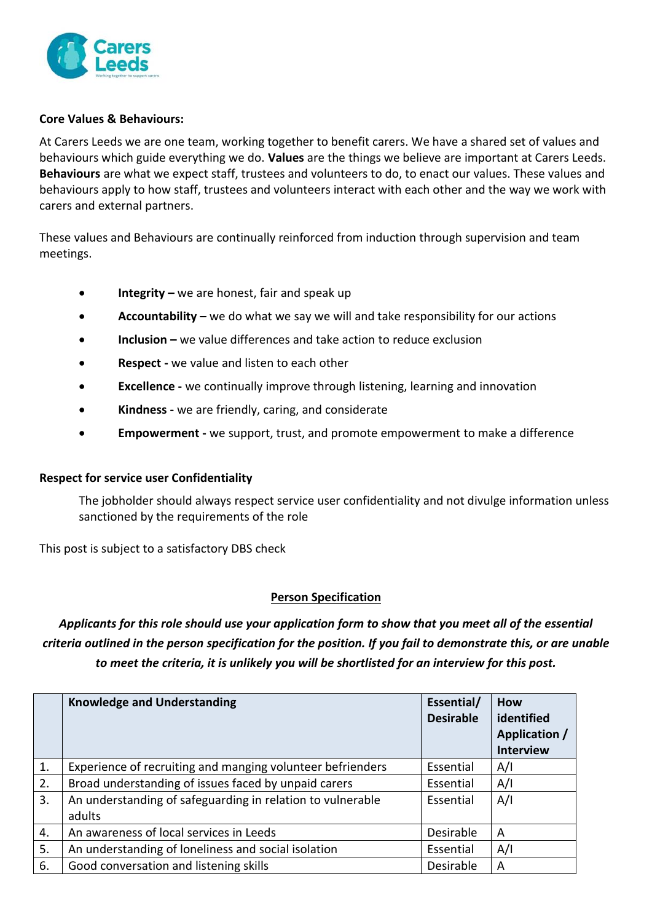

### **Core Values & Behaviours:**

At Carers Leeds we are one team, working together to benefit carers. We have a shared set of values and behaviours which guide everything we do. **Values** are the things we believe are important at Carers Leeds. **Behaviours** are what we expect staff, trustees and volunteers to do, to enact our values. These values and behaviours apply to how staff, trustees and volunteers interact with each other and the way we work with carers and external partners.

These values and Behaviours are continually reinforced from induction through supervision and team meetings.

- **Integrity –** we are honest, fair and speak up
- **Accountability** we do what we say we will and take responsibility for our actions
- **• Inclusion** we value differences and take action to reduce exclusion
- **Respect -** we value and listen to each other
- **Excellence -** we continually improve through listening, learning and innovation
- **Kindness -** we are friendly, caring, and considerate
- **Empowerment -** we support, trust, and promote empowerment to make a difference

#### **Respect for service user Confidentiality**

The jobholder should always respect service user confidentiality and not divulge information unless sanctioned by the requirements of the role

This post is subject to a satisfactory DBS check

## **Person Specification**

Applicants for this role should use your application form to show that you meet all of the essential criteria outlined in the person specification for the position. If you fail to demonstrate this, or are unable *to meet the criteria, it is unlikely you will be shortlisted for an interview for this post.*

|    | <b>Knowledge and Understanding</b>                                   | Essential/<br><b>Desirable</b> | How<br>identified<br>Application /<br><b>Interview</b> |
|----|----------------------------------------------------------------------|--------------------------------|--------------------------------------------------------|
| 1. | Experience of recruiting and manging volunteer befrienders           | Essential                      | A/I                                                    |
| 2. | Broad understanding of issues faced by unpaid carers                 | Essential                      | A/I                                                    |
| 3. | An understanding of safeguarding in relation to vulnerable<br>adults | Essential                      | A/I                                                    |
| 4. | An awareness of local services in Leeds                              | Desirable                      | A                                                      |
| 5. | An understanding of loneliness and social isolation                  | Essential                      | A/I                                                    |
| 6. | Good conversation and listening skills                               | Desirable                      | A                                                      |